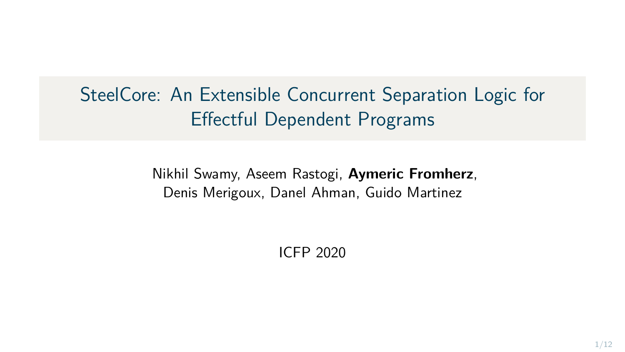SteelCore: An Extensible Concurrent Separation Logic for Effectful Dependent Programs

> Nikhil Swamy, Aseem Rastogi, **Aymeric Fromherz**, Denis Merigoux, Danel Ahman, Guido Martinez

> > ICFP 2020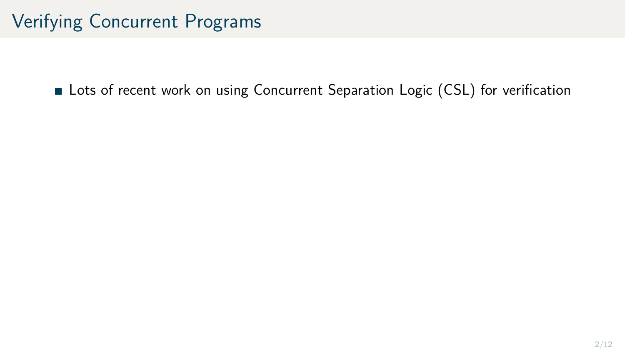**Lots of recent work on using Concurrent Separation Logic (CSL) for verification**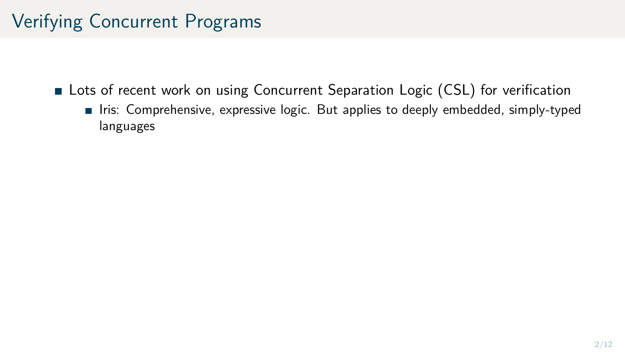- **Lots of recent work on using Concurrent Separation Logic (CSL) for verification** 
	- Iris: Comprehensive, expressive logic. But applies to deeply embedded, simply-typed languages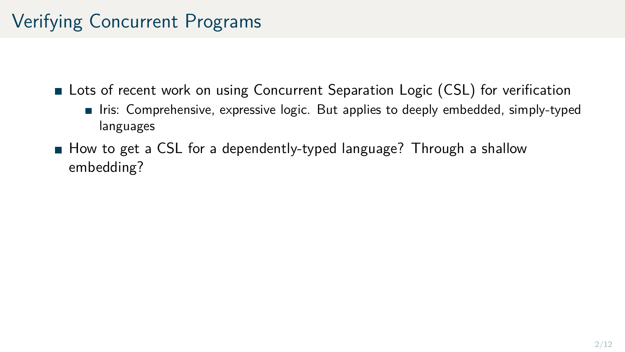**Lots of recent work on using Concurrent Separation Logic (CSL) for verification** 

- Iris: Comprehensive, expressive logic. But applies to deeply embedded, simply-typed languages
- How to get a CSL for a dependently-typed language? Through a shallow embedding?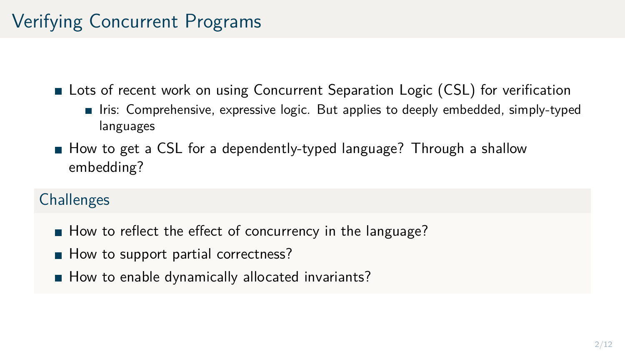**Lots of recent work on using Concurrent Separation Logic (CSL) for verification** 

- Iris: Comprehensive, expressive logic. But applies to deeply embedded, simply-typed languages
- How to get a CSL for a dependently-typed language? Through a shallow embedding?

### **Challenges**

- How to reflect the effect of concurrency in the language?
- $\blacksquare$  How to support partial correctness?
- How to enable dynamically allocated invariants?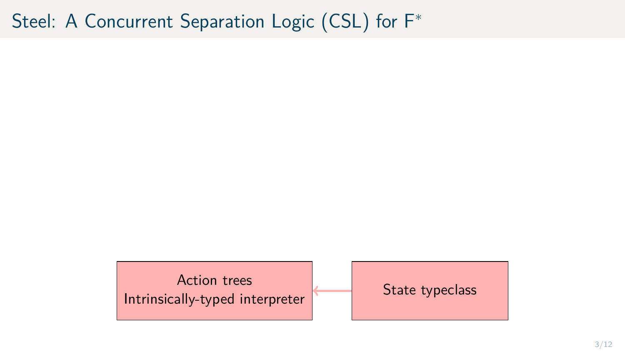Action trees Intrinsically-typed interpreter State typeclass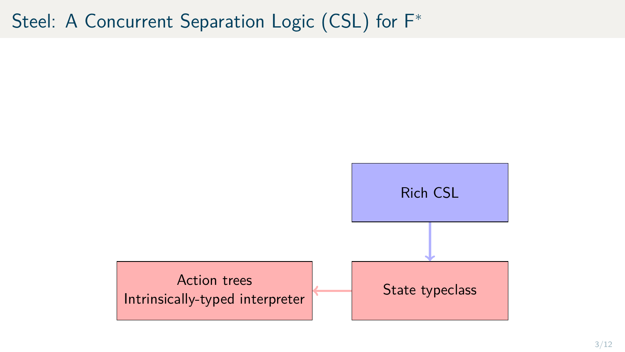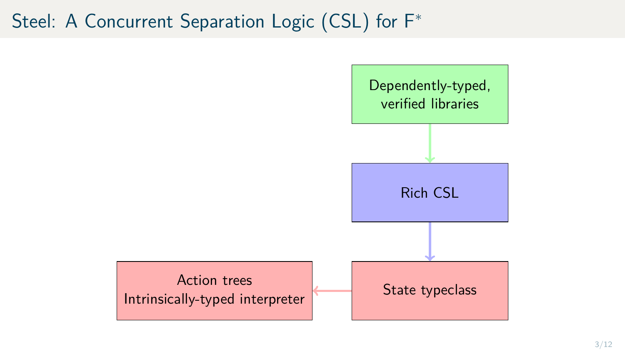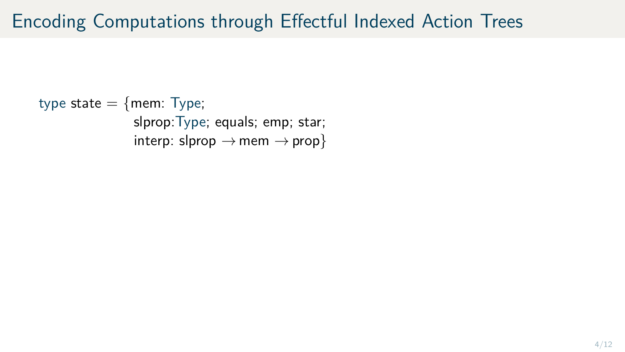type state  $=$  {mem: Type; slprop:Type; equals; emp; star; interp: slprop  $\rightarrow$  mem  $\rightarrow$  prop}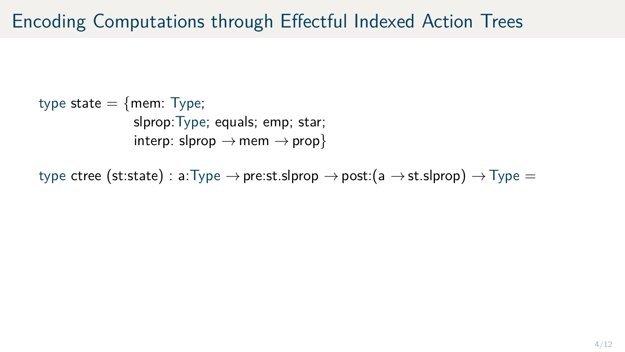type state  $=$  {mem: Type; slprop:Type; equals; emp; star; interp: slprop  $\rightarrow$  mem  $\rightarrow$  prop}

type ctree (st:state) : a:Type  $\rightarrow$  pre:st.slprop  $\rightarrow$  post:(a  $\rightarrow$  st.slprop)  $\rightarrow$  Type =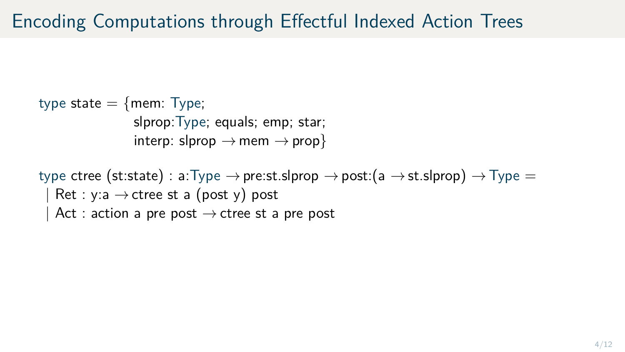type state  $=$  {mem: Type; slprop:Type; equals; emp; star; interp: slprop  $\rightarrow$  mem  $\rightarrow$  prop}

type ctree (st:state) : a:Type  $\rightarrow$  pre:st.slprop  $\rightarrow$  post:(a  $\rightarrow$  st.slprop)  $\rightarrow$  Type = Ret : y:a  $\rightarrow$  ctree st a (post y) post Act : action a pre post  $\rightarrow$  ctree st a pre post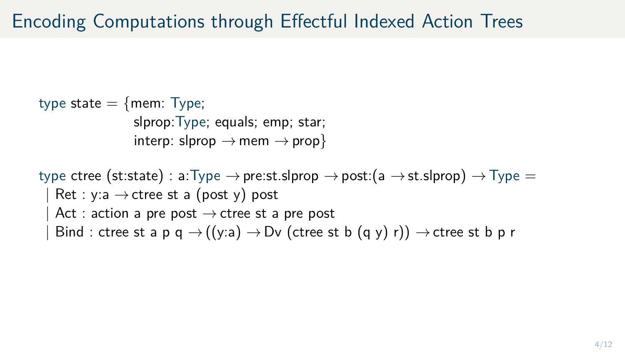type state  $=$  {mem: Type; slprop:Type; equals; emp; star; interp: slprop  $\rightarrow$  mem  $\rightarrow$  prop}

type ctree (st:state) : a:Type  $\rightarrow$  pre:st.slprop  $\rightarrow$  post:(a  $\rightarrow$  st.slprop)  $\rightarrow$  Type = Ret : y:a  $\rightarrow$  ctree st a (post y) post Act : action a pre post  $\rightarrow$  ctree st a pre post Bind : ctree st a p q  $\rightarrow$  ((y:a)  $\rightarrow$  Dv (ctree st b (q y) r))  $\rightarrow$  ctree st b p r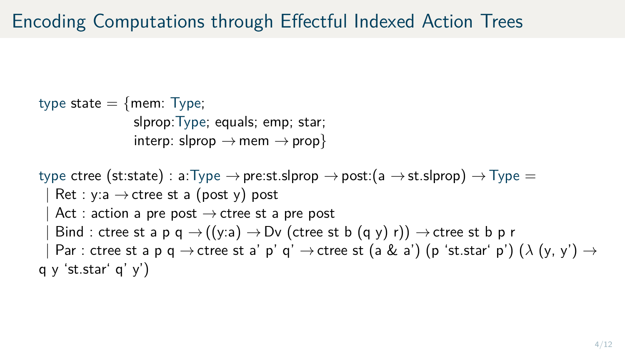type state  $=$  {mem: Type; slprop:Type; equals; emp; star; interp: slprop  $\rightarrow$  mem  $\rightarrow$  prop} type ctree (st:state) : a:Type  $\rightarrow$  pre:st.slprop  $\rightarrow$  post:(a  $\rightarrow$  st.slprop)  $\rightarrow$  Type = Ret : y:a  $\rightarrow$  ctree st a (post y) post Act : action a pre post  $\rightarrow$  ctree st a pre post Bind : ctree st a p q  $\rightarrow$  ((y:a)  $\rightarrow$  Dv (ctree st b (q y) r))  $\rightarrow$  ctree st b p r  $\text{Par : three st a p q } \rightarrow \text{ctree st a' p' q' } \rightarrow \text{ctree st (a & a') (p 'st.star' p') ( } \lambda (y, y') \rightarrow$  $q \vee 'st.star' q' \vee')$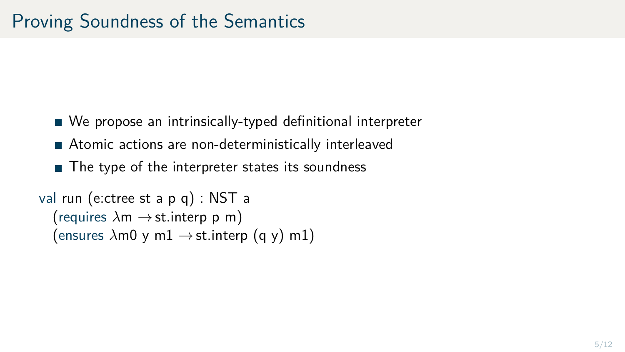- We propose an intrinsically-typed definitional interpreter
- Atomic actions are non-deterministically interleaved
- The type of the interpreter states its soundness

```
val run (e:ctree st a p q) : NST a
 (requires \lambdam \rightarrow st. interp p m)
 (ensures \lambdam0 y m1 \rightarrow st.interp (q y) m1)
```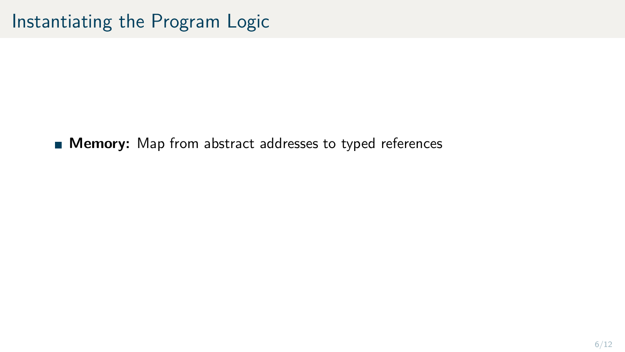**Memory:** Map from abstract addresses to typed references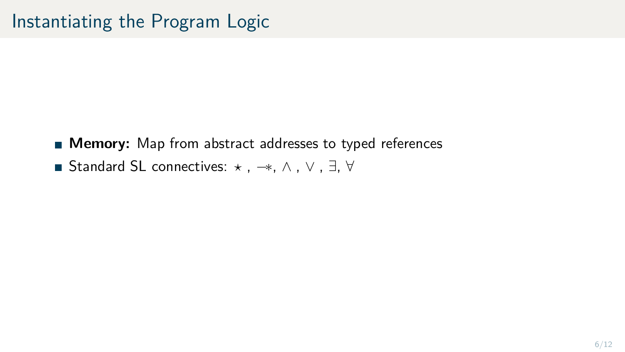- **Memory:** Map from abstract addresses to typed references
- Standard SL connectives:  $\star$ ,  $\to$ ,  $\wedge$ ,  $\vee$ ,  $\exists$ ,  $\forall$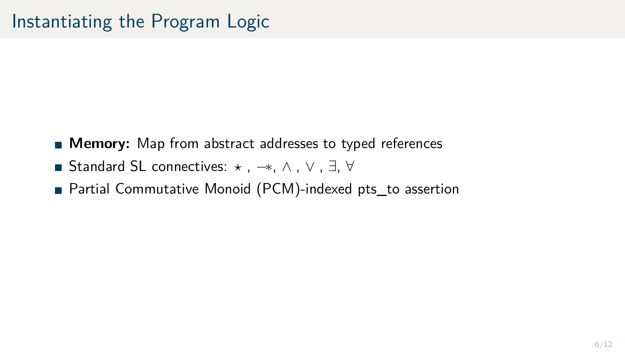- **Memory:** Map from abstract addresses to typed references
- Standard SL connectives:  $\star$ ,  $\to$ ,  $\wedge$ ,  $\vee$ ,  $\exists$ ,  $\forall$
- Partial Commutative Monoid (PCM)-indexed pts\_to assertion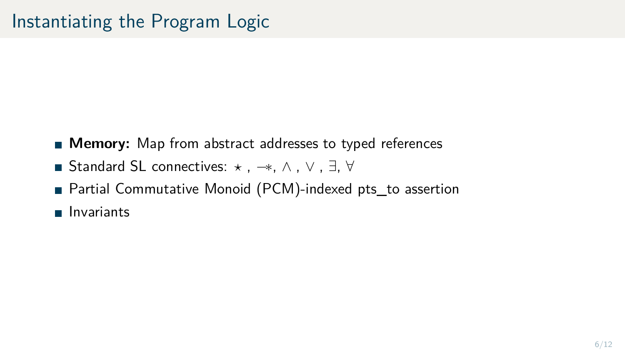- **Memory:** Map from abstract addresses to typed references
- Standard SL connectives:  $\star$ ,  $\to$ ,  $\wedge$ ,  $\vee$ ,  $\exists$ ,  $\forall$
- Partial Commutative Monoid (PCM)-indexed pts\_to assertion
- **Invariants**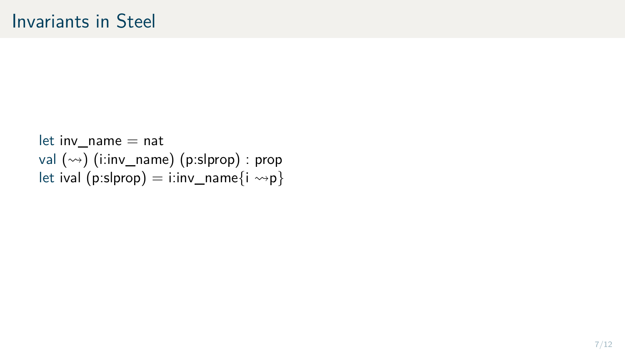$let inv_name = nat$ val  $(\rightarrow)$  (i:inv\_name) (p:slprop) : prop let ival (p:slprop) = i:inv\_name{i  $\leadsto p$ }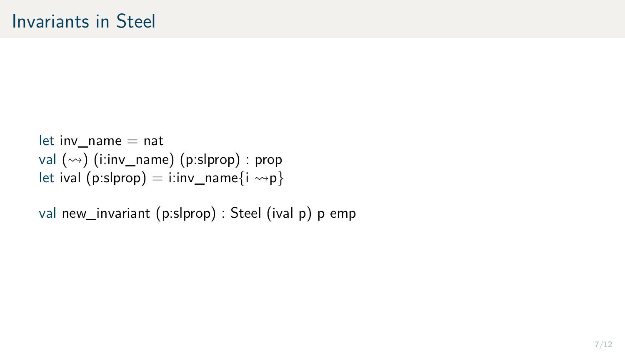let inv  $name = nat$ val  $(\rightarrow)$  (i:inv\_name) (p:slprop) : prop let ival (p:slprop) = i:inv\_name{i  $\rightarrow$ p}

val new\_invariant (p:slprop) : Steel (ival p) p emp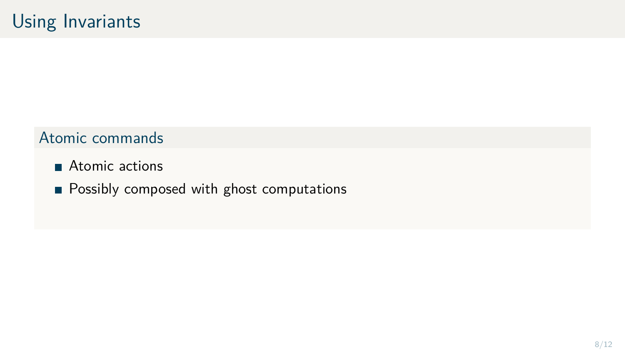- Atomic actions
- **Possibly composed with ghost computations**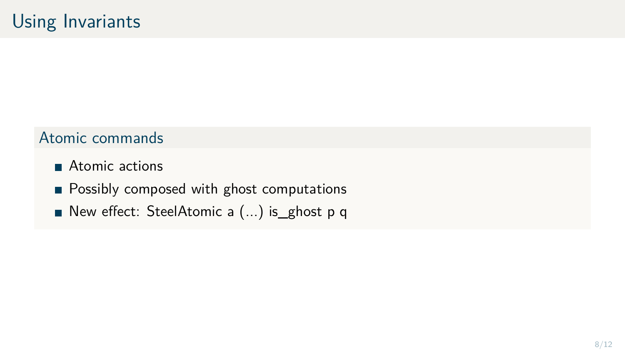- Atomic actions
- **Possibly composed with ghost computations**
- New effect: SteelAtomic a (...) is\_ghost p q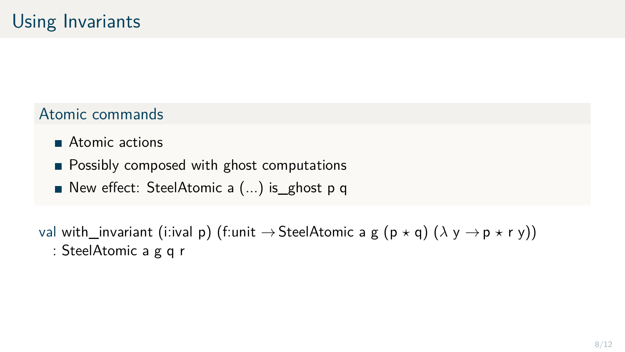- **Atomic actions**
- **Possibly composed with ghost computations**
- New effect: SteelAtomic a (...) is\_ghost p q

val with\_invariant (i:ival p) (f:unit  $\rightarrow$  SteelAtomic a g (p  $\star$  q) ( $\lambda$  y  $\rightarrow$  p  $\star$  r y)) : SteelAtomic a g q r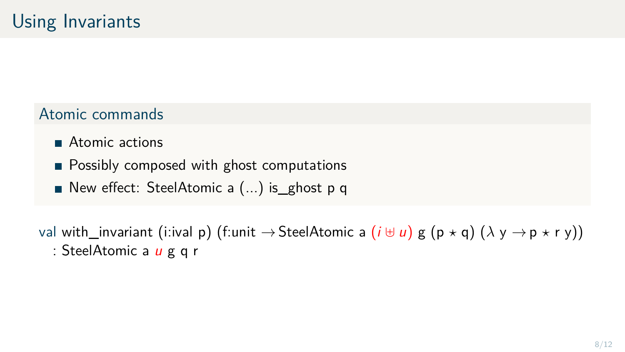- **Atomic actions**
- **Possibly composed with ghost computations**
- New effect: SteelAtomic a (...) is\_ghost p q

val with\_invariant (i:ival p) (f:unit  $\rightarrow$  SteelAtomic a  $(i \oplus u)$  g  $(p \star q)$   $(\lambda y \rightarrow p \star r y)$ ) : SteelAtomic a *u* g q r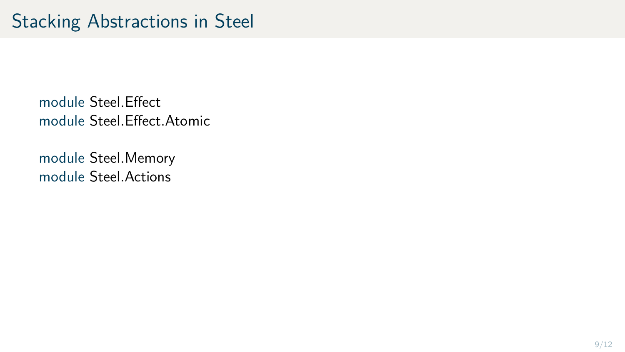module Steel.Memory module Steel.Actions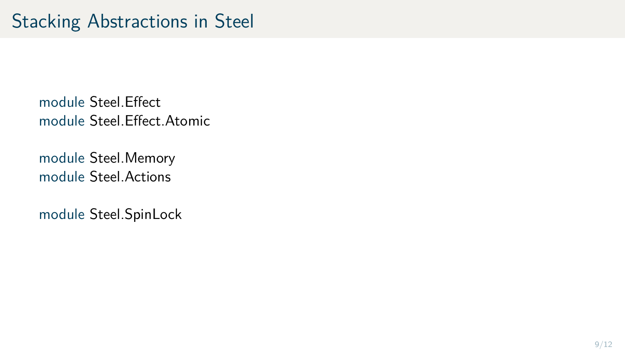module Steel.Memory module Steel.Actions

module Steel.SpinLock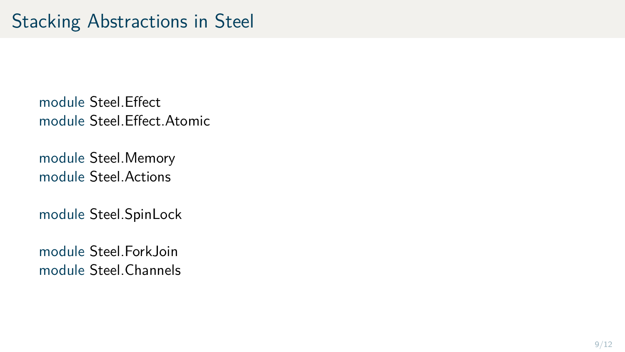module Steel.Memory module Steel.Actions

module Steel.SpinLock

module Steel.ForkJoin module Steel.Channels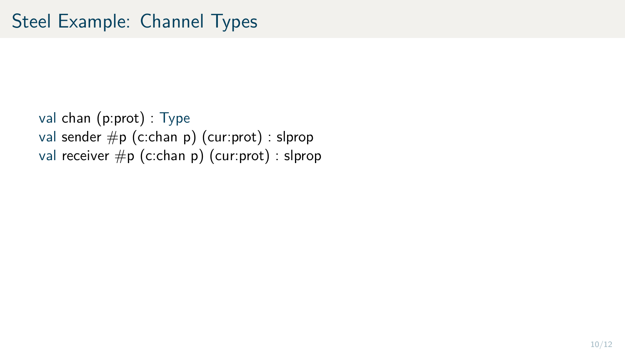val chan (p:prot) : Type val sender  $\#p$  (c:chan p) (cur:prot) : slprop val receiver #p (c:chan p) (cur:prot) : slprop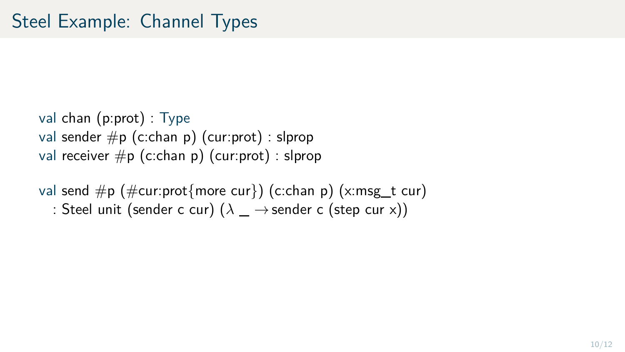val chan (p:prot) : Type val sender  $\#p$  (c:chan p) (cur:prot) : slprop val receiver  $\#p$  (c:chan p) (cur:prot) : slprop

val send  $\#p$  ( $\#cur:prot{more curl}$ ) (c:chan p) (x:msg\_t cur) : Steel unit (sender c cur)  $(\lambda \rightarrow s$ ender c (step cur x))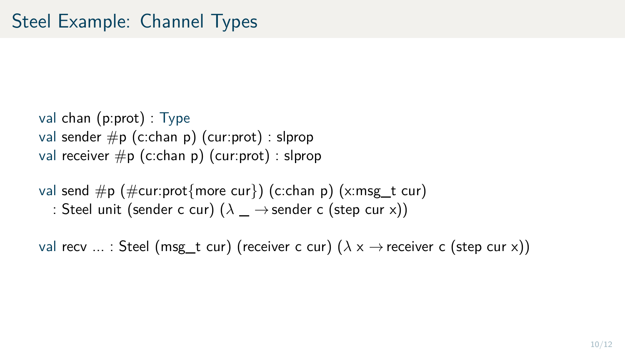val chan (p:prot) : Type val sender  $\#p$  (c:chan p) (cur:prot) : slprop val receiver  $\#p$  (c:chan p) (cur:prot) : slprop

val send  $\#p$  ( $\#cur:prot{more curl}$ ) (c:chan p) (x:msg\_t cur) : Steel unit (sender c cur)  $(\lambda \rightarrow s$ ender c (step cur x))

val recv ... : Steel (msg\_t cur) (receiver c cur) ( $\lambda$  x  $\rightarrow$  receiver c (step cur x))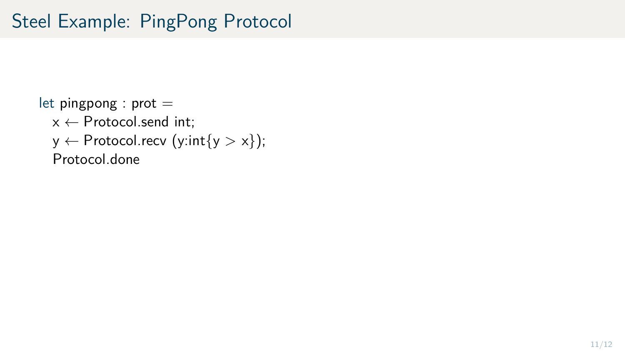## Steel Example: PingPong Protocol

```
let pingpong : prot =x \leftarrow Protocol.send int;
 y \leftarrow Protocol.recv (y:int{y > x});
 Protocol.done
```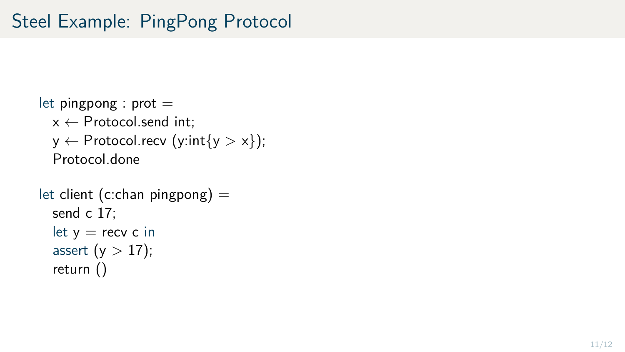```
let pingpong : prot =x \leftarrow Protocol.send int;
 y \leftarrow Protocol.recv (y:int{y > x});
 Protocol.done
```

```
let client (c:chan pingpong) =send c 17;
let y = recv c in
assert (y > 17);
return ()
```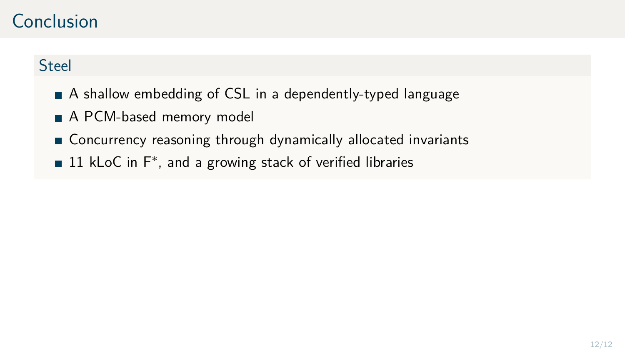### Conclusion

### **Steel**

- A shallow embedding of CSL in a dependently-typed language
- A PCM-based memory model
- Concurrency reasoning through dynamically allocated invariants
- 11 kLoC in F<sup>∗</sup> , and a growing stack of verified libraries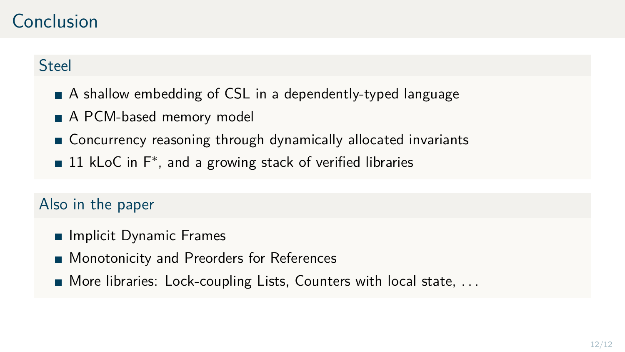### Conclusion

#### Steel

- A shallow embedding of CSL in a dependently-typed language
- A PCM-based memory model
- Concurrency reasoning through dynamically allocated invariants
- 11 kLoC in F<sup>∗</sup> , and a growing stack of verified libraries

#### Also in the paper

- **Implicit Dynamic Frames**
- **Monotonicity and Preorders for References**
- $\blacksquare$  More libraries: Lock-coupling Lists, Counters with local state, ...